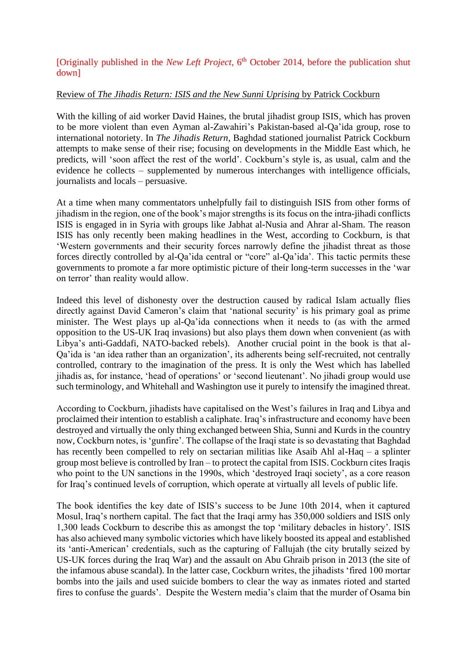## [Originally published in the *New Left Project*, 6<sup>th</sup> October 2014, before the publication shut down]

## Review of *The Jihadis Return: ISIS and the New Sunni Uprising* by Patrick Cockburn

With the killing of aid worker David Haines, the brutal jihadist group ISIS, which has proven to be more violent than even Ayman al-Zawahiri's Pakistan-based al-Qa'ida group, rose to international notoriety. In *The Jihadis Return*, Baghdad stationed journalist Patrick Cockburn attempts to make sense of their rise; focusing on developments in the Middle East which, he predicts, will 'soon affect the rest of the world'. Cockburn's style is, as usual, calm and the evidence he collects – supplemented by numerous interchanges with intelligence officials, journalists and locals – persuasive.

At a time when many commentators unhelpfully fail to distinguish ISIS from other forms of jihadism in the region, one of the book's major strengths is its focus on the intra-jihadi conflicts ISIS is engaged in in Syria with groups like Jabhat al-Nusia and Ahrar al-Sham. The reason ISIS has only recently been making headlines in the West, according to Cockburn, is that 'Western governments and their security forces narrowly define the jihadist threat as those forces directly controlled by al-Qa'ida central or "core" al-Qa'ida'. This tactic permits these governments to promote a far more optimistic picture of their long-term successes in the 'war on terror' than reality would allow.

Indeed this level of dishonesty over the destruction caused by radical Islam actually flies directly against David Cameron's claim that 'national security' is his primary goal as prime minister. The West plays up al-Qa'ida connections when it needs to (as with the armed opposition to the US-UK Iraq invasions) but also plays them down when convenient (as with Libya's anti-Gaddafi, NATO-backed rebels). Another crucial point in the book is that al-Qa'ida is 'an idea rather than an organization', its adherents being self-recruited, not centrally controlled, contrary to the imagination of the press. It is only the West which has labelled jihadis as, for instance, 'head of operations' or 'second lieutenant'. No jihadi group would use such terminology, and Whitehall and Washington use it purely to intensify the imagined threat.

According to Cockburn, jihadists have capitalised on the West's failures in Iraq and Libya and proclaimed their intention to establish a caliphate. Iraq's infrastructure and economy have been destroyed and virtually the only thing exchanged between Shia, Sunni and Kurds in the country now, Cockburn notes, is 'gunfire'. The collapse of the Iraqi state is so devastating that Baghdad has recently been compelled to rely on sectarian militias like Asaib Ahl al-Haq – a splinter group most believe is controlled by Iran – to protect the capital from ISIS. Cockburn cites Iraqis who point to the UN sanctions in the 1990s, which 'destroyed Iraqi society', as a core reason for Iraq's continued levels of corruption, which operate at virtually all levels of public life.

The book identifies the key date of ISIS's success to be June 10th 2014, when it captured Mosul, Iraq's northern capital. The fact that the Iraqi army has 350,000 soldiers and ISIS only 1,300 leads Cockburn to describe this as amongst the top 'military debacles in history'. ISIS has also achieved many symbolic victories which have likely boosted its appeal and established its 'anti-American' credentials, such as the capturing of Fallujah (the city brutally seized by US-UK forces during the Iraq War) and the assault on Abu Ghraib prison in 2013 (the site of the infamous abuse scandal). In the latter case, Cockburn writes, the jihadists 'fired 100 mortar bombs into the jails and used suicide bombers to clear the way as inmates rioted and started fires to confuse the guards'. Despite the Western media's claim that the murder of Osama bin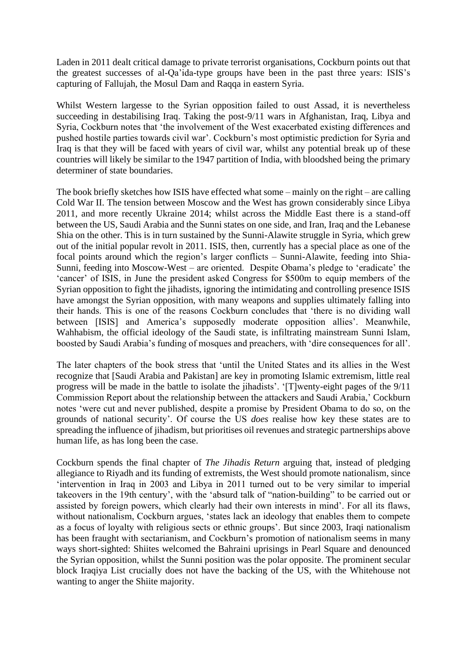Laden in 2011 dealt critical damage to private terrorist organisations, Cockburn points out that the greatest successes of al-Qa'ida-type groups have been in the past three years: ISIS's capturing of Fallujah, the Mosul Dam and Raqqa in eastern Syria.

Whilst Western largesse to the Syrian opposition failed to oust Assad, it is nevertheless succeeding in destabilising Iraq. Taking the post-9/11 wars in Afghanistan, Iraq, Libya and Syria, Cockburn notes that 'the involvement of the West exacerbated existing differences and pushed hostile parties towards civil war'. Cockburn's most optimistic prediction for Syria and Iraq is that they will be faced with years of civil war, whilst any potential break up of these countries will likely be similar to the 1947 partition of India, with bloodshed being the primary determiner of state boundaries.

The book briefly sketches how ISIS have effected what some – mainly on the right – are calling Cold War II. The tension between Moscow and the West has grown considerably since Libya 2011, and more recently Ukraine 2014; whilst across the Middle East there is a stand-off between the US, Saudi Arabia and the Sunni states on one side, and Iran, Iraq and the Lebanese Shia on the other. This is in turn sustained by the Sunni-Alawite struggle in Syria, which grew out of the initial popular revolt in 2011. ISIS, then, currently has a special place as one of the focal points around which the region's larger conflicts – Sunni-Alawite, feeding into Shia-Sunni, feeding into Moscow-West – are oriented. Despite Obama's pledge to 'eradicate' the 'cancer' of ISIS, in June the president asked Congress for \$500m to equip members of the Syrian opposition to fight the jihadists, ignoring the intimidating and controlling presence ISIS have amongst the Syrian opposition, with many weapons and supplies ultimately falling into their hands. This is one of the reasons Cockburn concludes that 'there is no dividing wall between [ISIS] and America's supposedly moderate opposition allies'. Meanwhile, Wahhabism, the official ideology of the Saudi state, is infiltrating mainstream Sunni Islam, boosted by Saudi Arabia's funding of mosques and preachers, with 'dire consequences for all'.

The later chapters of the book stress that 'until the United States and its allies in the West recognize that [Saudi Arabia and Pakistan] are key in promoting Islamic extremism, little real progress will be made in the battle to isolate the jihadists'. '[T]wenty-eight pages of the 9/11 Commission Report about the relationship between the attackers and Saudi Arabia,' Cockburn notes 'were cut and never published, despite a promise by President Obama to do so, on the grounds of national security'. Of course the US *does* realise how key these states are to spreading the influence of jihadism, but prioritises oil revenues and strategic partnerships above human life, as has long been the case.

Cockburn spends the final chapter of *The Jihadis Return* arguing that, instead of pledging allegiance to Riyadh and its funding of extremists, the West should promote nationalism, since 'intervention in Iraq in 2003 and Libya in 2011 turned out to be very similar to imperial takeovers in the 19th century', with the 'absurd talk of "nation-building" to be carried out or assisted by foreign powers, which clearly had their own interests in mind'. For all its flaws, without nationalism, Cockburn argues, 'states lack an ideology that enables them to compete as a focus of loyalty with religious sects or ethnic groups'. But since 2003, Iraqi nationalism has been fraught with sectarianism, and Cockburn's promotion of nationalism seems in many ways short-sighted: Shiites welcomed the Bahraini uprisings in Pearl Square and denounced the Syrian opposition, whilst the Sunni position was the polar opposite. The prominent secular block Iraqiya List crucially does not have the backing of the US, with the Whitehouse not wanting to anger the Shiite majority.